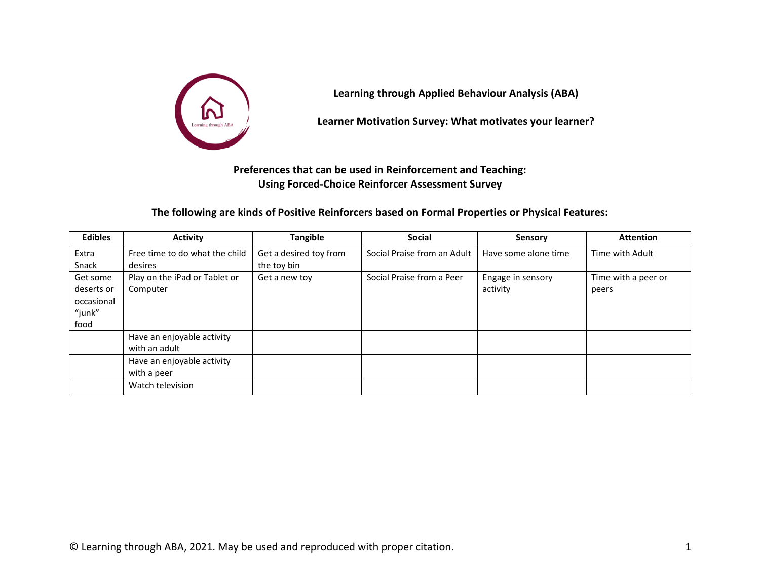

**Learning through Applied Behaviour Analysis (ABA)**

**Learner Motivation Survey: What motivates your learner?**

**Preferences that can be used in Reinforcement and Teaching: Using Forced-Choice Reinforcer Assessment Survey**

**The following are kinds of Positive Reinforcers based on Formal Properties or Physical Features:**

| <b>Edibles</b>                                         | <b>Activity</b>                             | <b>Tangible</b>                       | <b>Social</b>               | Sensory                       | <b>Attention</b>             |
|--------------------------------------------------------|---------------------------------------------|---------------------------------------|-----------------------------|-------------------------------|------------------------------|
| Extra<br>Snack                                         | Free time to do what the child<br>desires   | Get a desired toy from<br>the toy bin | Social Praise from an Adult | Have some alone time          | Time with Adult              |
| Get some<br>deserts or<br>occasional<br>"junk"<br>food | Play on the iPad or Tablet or<br>Computer   | Get a new toy                         | Social Praise from a Peer   | Engage in sensory<br>activity | Time with a peer or<br>peers |
|                                                        | Have an enjoyable activity<br>with an adult |                                       |                             |                               |                              |
|                                                        | Have an enjoyable activity<br>with a peer   |                                       |                             |                               |                              |
|                                                        | Watch television                            |                                       |                             |                               |                              |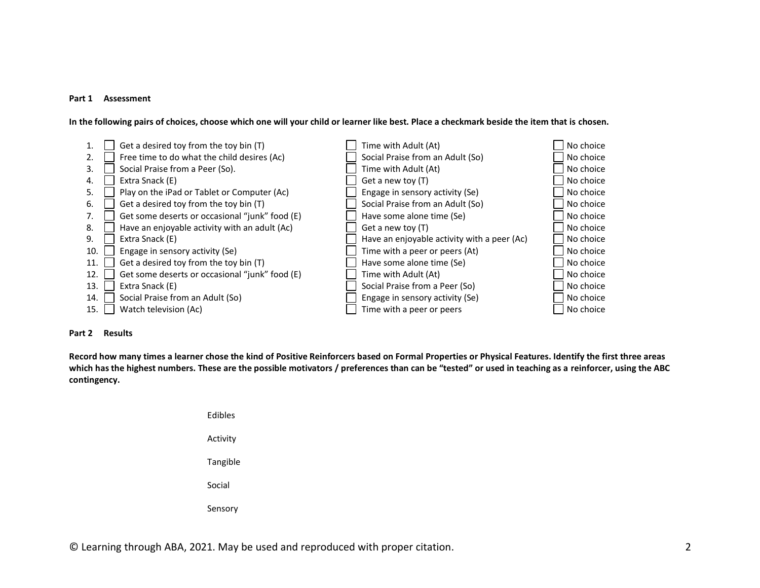#### **Part 1 Assessment**

**In the following pairs of choices, choose which one will your child or learner like best. Place a checkmark beside the item that is chosen.**

|     | Get a desired toy from the toy bin (T)         | Time with Adult (At)                        | No choice |
|-----|------------------------------------------------|---------------------------------------------|-----------|
|     | Free time to do what the child desires (Ac)    | Social Praise from an Adult (So)            | No choice |
| 3.  | Social Praise from a Peer (So).                | Time with Adult (At)                        | No choice |
| 4.  | Extra Snack (E)                                | Get a new toy (T)                           | No choice |
| 5.  | Play on the iPad or Tablet or Computer (Ac)    | Engage in sensory activity (Se)             | No choice |
| 6.  | Get a desired toy from the toy bin (T)         | Social Praise from an Adult (So)            | No choice |
| 7.  | Get some deserts or occasional "junk" food (E) | Have some alone time (Se)                   | No choice |
| 8.  | Have an enjoyable activity with an adult (Ac)  | Get a new toy (T)                           | No choice |
| 9.  | Extra Snack (E)                                | Have an enjoyable activity with a peer (Ac) | No choice |
| 10. | Engage in sensory activity (Se)                | Time with a peer or peers (At)              | No choice |
| 11. | Get a desired toy from the toy bin (T)         | Have some alone time (Se)                   | No choice |
| 12. | Get some deserts or occasional "junk" food (E) | Time with Adult (At)                        | No choice |
| 13. | Extra Snack (E)                                | Social Praise from a Peer (So)              | No choice |
| 14. | Social Praise from an Adult (So)               | Engage in sensory activity (Se)             | No choice |
| 15. | Watch television (Ac)                          | Time with a peer or peers                   | No choice |

## **Part 2 Results**

**Record how many times a learner chose the kind of Positive Reinforcers based on Formal Properties or Physical Features. Identify the first three areas which has the highest numbers. These are the possible motivators / preferences than can be "tested" or used in teaching as a reinforcer, using the ABC contingency.** 

| Fdibles  |  |
|----------|--|
| Activity |  |
| Tangible |  |
| Social   |  |
| Sensory  |  |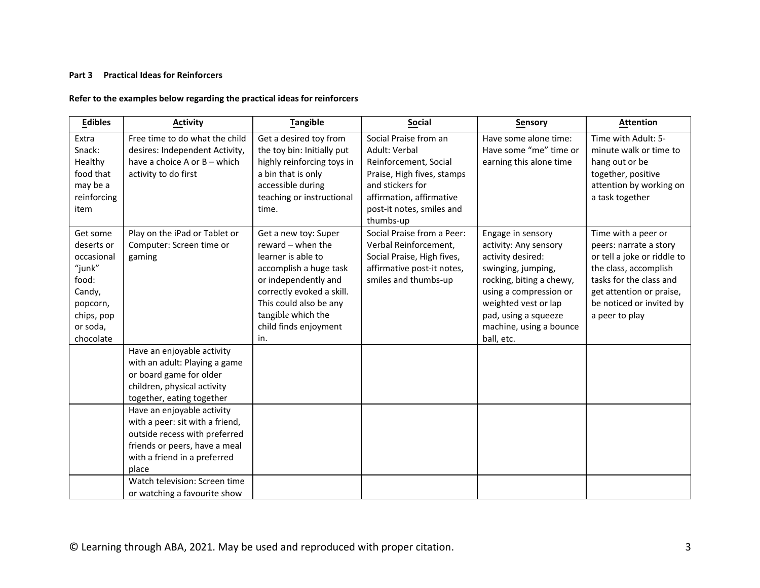### **Part 3 Practical Ideas for Reinforcers**

## **Refer to the examples below regarding the practical ideas for reinforcers**

| <b>Edibles</b>                                                                                                       | <b>Activity</b>                                                                                                                                                                                                                                                                                                                | <b>Tangible</b>                                                                                                                                                                                                                | <b>Social</b>                                                                                                                                                                           | Sensory                                                                                                                                                                                                                              | <b>Attention</b>                                                                                                                                                                                           |
|----------------------------------------------------------------------------------------------------------------------|--------------------------------------------------------------------------------------------------------------------------------------------------------------------------------------------------------------------------------------------------------------------------------------------------------------------------------|--------------------------------------------------------------------------------------------------------------------------------------------------------------------------------------------------------------------------------|-----------------------------------------------------------------------------------------------------------------------------------------------------------------------------------------|--------------------------------------------------------------------------------------------------------------------------------------------------------------------------------------------------------------------------------------|------------------------------------------------------------------------------------------------------------------------------------------------------------------------------------------------------------|
| Extra<br>Snack:<br>Healthy<br>food that<br>may be a<br>reinforcing<br>item                                           | Free time to do what the child<br>desires: Independent Activity,<br>have a choice A or B - which<br>activity to do first                                                                                                                                                                                                       | Get a desired toy from<br>the toy bin: Initially put<br>highly reinforcing toys in<br>a bin that is only<br>accessible during<br>teaching or instructional<br>time.                                                            | Social Praise from an<br>Adult: Verbal<br>Reinforcement, Social<br>Praise, High fives, stamps<br>and stickers for<br>affirmation, affirmative<br>post-it notes, smiles and<br>thumbs-up | Have some alone time:<br>Have some "me" time or<br>earning this alone time                                                                                                                                                           | Time with Adult: 5-<br>minute walk or time to<br>hang out or be<br>together, positive<br>attention by working on<br>a task together                                                                        |
| Get some<br>deserts or<br>occasional<br>"junk"<br>food:<br>Candy,<br>popcorn,<br>chips, pop<br>or soda,<br>chocolate | Play on the iPad or Tablet or<br>Computer: Screen time or<br>gaming                                                                                                                                                                                                                                                            | Get a new toy: Super<br>reward - when the<br>learner is able to<br>accomplish a huge task<br>or independently and<br>correctly evoked a skill.<br>This could also be any<br>tangible which the<br>child finds enjoyment<br>in. | Social Praise from a Peer:<br>Verbal Reinforcement,<br>Social Praise, High fives,<br>affirmative post-it notes,<br>smiles and thumbs-up                                                 | Engage in sensory<br>activity: Any sensory<br>activity desired:<br>swinging, jumping,<br>rocking, biting a chewy,<br>using a compression or<br>weighted vest or lap<br>pad, using a squeeze<br>machine, using a bounce<br>ball, etc. | Time with a peer or<br>peers: narrate a story<br>or tell a joke or riddle to<br>the class, accomplish<br>tasks for the class and<br>get attention or praise,<br>be noticed or invited by<br>a peer to play |
|                                                                                                                      | Have an enjoyable activity<br>with an adult: Playing a game<br>or board game for older<br>children, physical activity<br>together, eating together<br>Have an enjoyable activity<br>with a peer: sit with a friend,<br>outside recess with preferred<br>friends or peers, have a meal<br>with a friend in a preferred<br>place |                                                                                                                                                                                                                                |                                                                                                                                                                                         |                                                                                                                                                                                                                                      |                                                                                                                                                                                                            |
|                                                                                                                      | Watch television: Screen time<br>or watching a favourite show                                                                                                                                                                                                                                                                  |                                                                                                                                                                                                                                |                                                                                                                                                                                         |                                                                                                                                                                                                                                      |                                                                                                                                                                                                            |